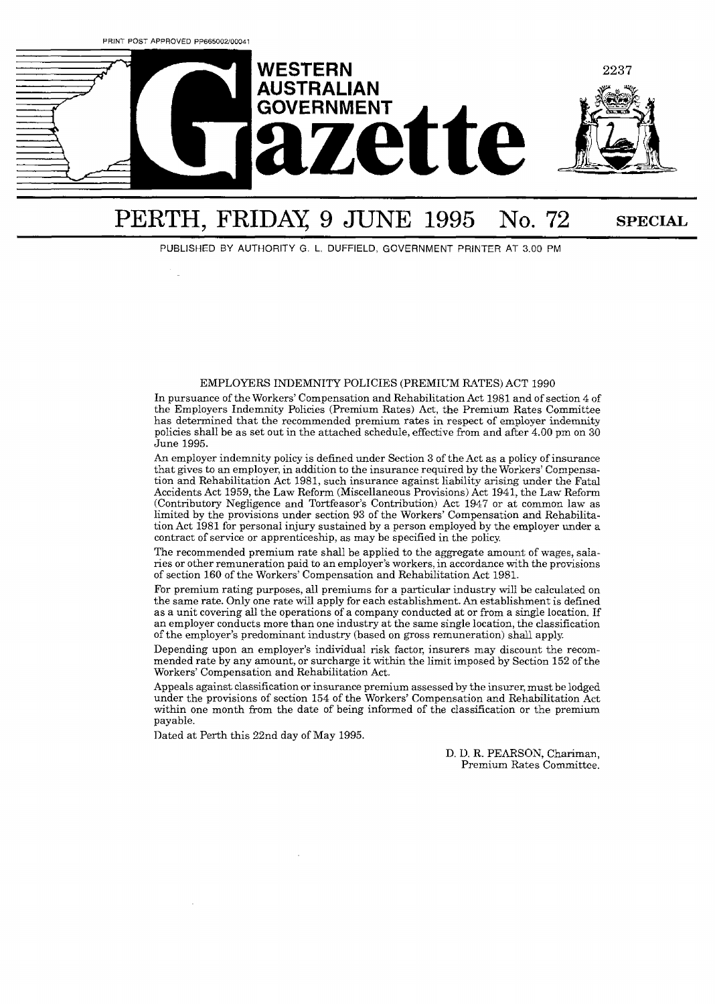

# PERTH, FRIDAY, 9 JUNE 1995 No. 72 SPECIAL

PUBLISHED BY AUTHORITY G. L. DUFFIELD, GOVERNMENT PRINTER AT 3.00 PM

#### EMPLOYERS INDEMNITY POLICIES (PREMIUM RATES) ACT 1990

In pursuance of the Workers' Compensation and Rehabilitation Act 1981 and of section 4 of the Employers Indemnity Policies (Premium Rates) Act, the Premium Rates Committee has determined that the recommended premium rates in respect of employer indemnity policies shall be as set out in the attached schedule, effective from and after 4.00 pm on 30 June 1995.

**An** employer indemnity policy is defined under Section **3** of the Act as a policy of insurance that gives to an employer, in addition to the insurance required by the Workers' Compensation and Rehabilitation Act 1981, such insurance against liability arising under the Fatal Accidents Act 1959, the Law Reform (Miscellaneous Provisions) Act 1941, the Law Reform (Contributory Negligence and Tortfeasor's Contribution) Act 1947 or at common law as limited by the provisions under section 93 of the Workers' Compensation and Rehabilitation Act 1981 for personal injury sustained by a person employed by the employer under a contract of service or apprenticeship, as may be specified in the policy.

The recommended premium rate shall be applied to the aggregate amount of wages, salaries or other remuneration paid to an employer's workers, in accordance with the provisions of section 160 of the Workers' Compensation and Rehabilitation Act 1981.

For premium rating purposes, all premiums for a particular industry will be calculated on the same rate. Only one rate will apply for each establishment. **An** establishment is defined as a unit covering all the operations of a company conducted at or from a single location. If an employer conducts more than one industry at the same single location, the classification of the employer's predominant industry (based on gross remuneration) shall apply.

Depending upon an employer's individual risk factor, insurers may discount the recommended rate by any amount, or surcharge it within the limit imposed by Section 152 of the Workers' Compensation and Rehabilitation Act.

Appeals against classification or insurance premium assessed by the insurer, must be lodged under the provisions of section 154 of the Workers' Compensation and Rehabilitation Act within one month from the date of being informed of the classification or the premium payable.

Dated at Perth this 22nd day of May 1995.

D. D. R. PEARSON, Chariman, Premium Rates Committee.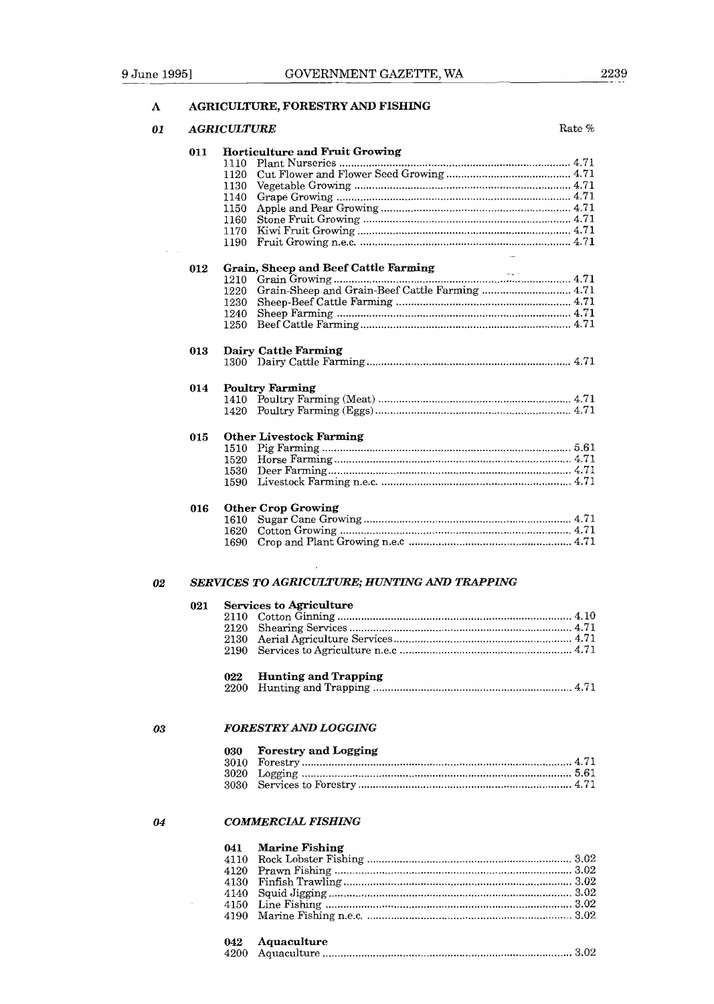### **A AGRICULTURE, FORESTRY** AND **FISHING**

| 011 | Horticulture and Fruit Growing<br>1110 |
|-----|----------------------------------------|
|     | 1120                                   |
|     | 1130                                   |
|     |                                        |
|     | 1140                                   |
|     | 1150                                   |
|     | 1160                                   |
|     | 1170                                   |
|     | 1190                                   |
| 012 | Grain, Sheep and Beef Cattle Farming   |
|     | 1210                                   |
|     | 1220                                   |
|     | 1230                                   |
|     | 1240                                   |
|     | 1250                                   |
|     |                                        |
| 013 | <b>Dairy Cattle Farming</b>            |
|     |                                        |
|     |                                        |
| 014 | <b>Poultry Farming</b>                 |
|     |                                        |
|     | 1420                                   |
| 015 | <b>Other Livestock Farming</b>         |
|     |                                        |
|     |                                        |
|     |                                        |
|     |                                        |
|     |                                        |
| 016 | <b>Other Crop Growing</b>              |
|     | 1610 -                                 |
|     | 1620                                   |
|     | 1690                                   |

| 021 |     | <b>Services to Agriculture</b> |
|-----|-----|--------------------------------|
|     |     |                                |
|     | 022 | <b>Hunting and Trapping</b>    |

### 03

04

 $\sim 10^{-1}$ 

### *FORESTRY AND LOGGING*

| 030 | <b>Forestry and Logging</b> |
|-----|-----------------------------|
|     |                             |
|     |                             |
|     |                             |

### *COMMERCIAL FISIIING*

| 041 Marine Fishing |  |
|--------------------|--|
|                    |  |
|                    |  |
|                    |  |
|                    |  |
|                    |  |
|                    |  |
|                    |  |

| 042 Aquaculture |  |
|-----------------|--|
|                 |  |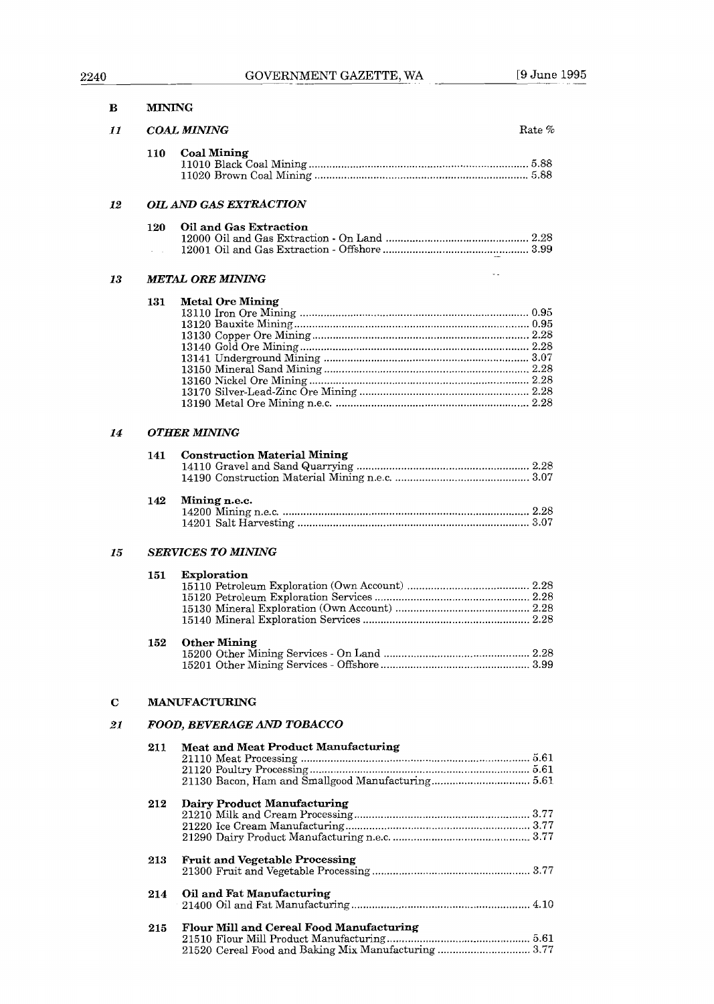| в           | <b>MINING</b> |                                            |        |
|-------------|---------------|--------------------------------------------|--------|
| 11          |               | <b>COAL MINING</b>                         | Rate % |
|             | 110           | <b>Coal Mining</b>                         |        |
| 12          |               | <b>OIL AND GAS EXTRACTION</b>              |        |
|             | 120           | Oil and Gas Extraction                     |        |
| 13          |               | <b>METAL ORE MINING</b>                    |        |
|             | 131           | <b>Metal Ore Mining</b>                    |        |
| 14          |               | <b>OTHER MINING</b>                        |        |
|             | 141           | <b>Construction Material Mining</b>        |        |
|             | 142           | Mining n.e.c.                              |        |
| 15          |               | SERVICES TO MINING                         |        |
|             | 151           | Exploration                                |        |
|             | 152           | <b>Other Mining</b>                        |        |
| $\mathbf C$ |               | <b>MANUFACTURING</b>                       |        |
| 21          |               | FOOD, BEVERAGE AND TOBACCO                 |        |
|             | 211           | <b>Meat and Meat Product Manufacturing</b> |        |
|             | 212           | Dairy Product Manufacturing                |        |
|             | 213           | <b>Fruit and Vegetable Processing</b>      |        |
|             | 214           | Oil and Fat Manufacturing                  |        |
|             | 215           | Flour Mill and Cereal Food Manufacturing   |        |

21520 Cereal Food and Baking Mix Manufacturing ............................... 3.77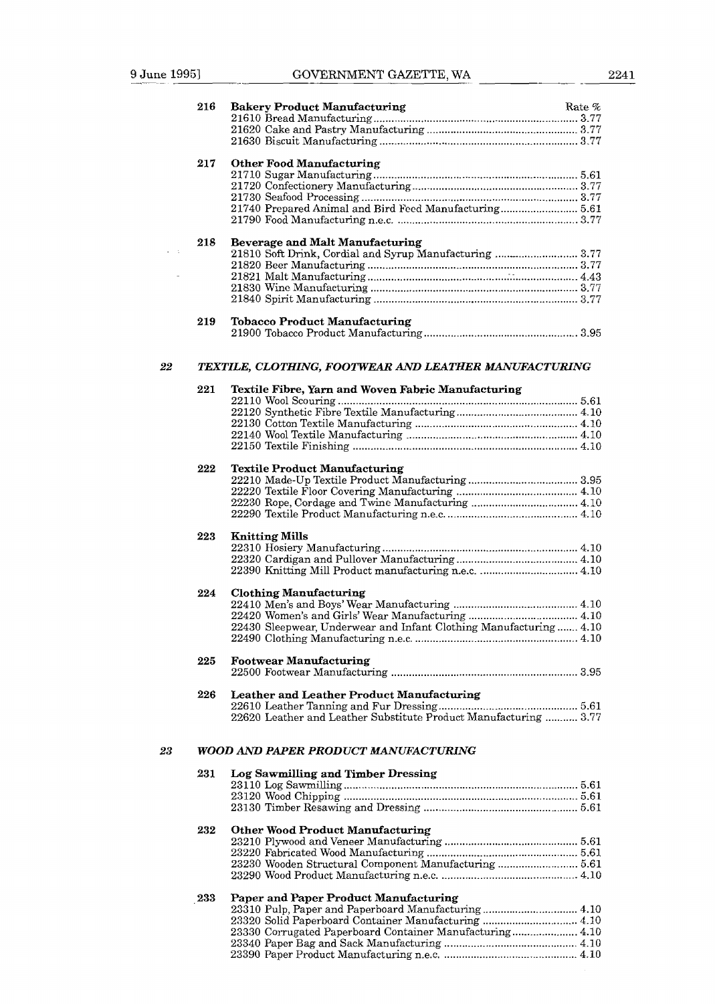|          | 216 | <b>Bakery Product Manufacturing</b>                               | Rate % |
|----------|-----|-------------------------------------------------------------------|--------|
|          |     |                                                                   |        |
|          |     |                                                                   |        |
|          |     |                                                                   |        |
|          | 217 | <b>Other Food Manufacturing</b>                                   |        |
|          |     |                                                                   |        |
|          |     |                                                                   |        |
|          |     | 21740 Prepared Animal and Bird Feed Manufacturing 5.61            |        |
|          |     |                                                                   |        |
|          | 218 | <b>Beverage and Malt Manufacturing</b>                            |        |
| $\sim$ 1 |     | 21810 Soft Drink, Cordial and Syrup Manufacturing  3.77           |        |
|          |     |                                                                   |        |
|          |     |                                                                   |        |
|          |     |                                                                   |        |
|          |     |                                                                   |        |
|          | 219 | <b>Tobacco Product Manufacturing</b>                              |        |
| 22       |     | TEXTILE, CLOTHING, FOOTWEAR AND LEATHER MANUFACTURING             |        |
|          | 221 |                                                                   |        |
|          |     | Textile Fibre, Yarn and Woven Fabric Manufacturing                |        |
|          |     |                                                                   |        |
|          |     |                                                                   |        |
|          |     |                                                                   |        |
|          |     |                                                                   |        |
|          | 222 | <b>Textile Product Manufacturing</b>                              |        |
|          |     |                                                                   |        |
|          |     |                                                                   |        |
|          |     |                                                                   |        |
|          |     |                                                                   |        |
|          | 223 | <b>Knitting Mills</b>                                             |        |
|          |     |                                                                   |        |
|          |     |                                                                   |        |
|          | 224 | <b>Clothing Manufacturing</b>                                     |        |
|          |     |                                                                   |        |
|          |     |                                                                   |        |
|          |     | 22430 Sleepwear, Underwear and Infant Clothing Manufacturing 4.10 |        |
|          |     |                                                                   |        |
|          | 225 | <b>Footwear Manufacturing</b>                                     |        |
|          |     |                                                                   |        |
|          | 226 | Leather and Leather Product Manufacturing                         |        |
|          |     | 22620 Leather and Leather Substitute Product Manufacturing  3.77  |        |
|          |     |                                                                   |        |
| 23       |     | <b>WOOD AND PAPER PRODUCT MANUFACTURING</b>                       |        |
|          | 231 | Log Sawmilling and Timber Dressing                                |        |
|          |     |                                                                   |        |
|          |     |                                                                   |        |
|          |     |                                                                   |        |
|          | 232 | <b>Other Wood Product Manufacturing</b>                           |        |
|          |     |                                                                   |        |
|          |     | 23230 Wooden Structural Component Manufacturing  5.61             |        |
|          |     |                                                                   |        |
|          | 233 | Paper and Paper Product Manufacturing                             |        |
|          |     | 23310 Pulp, Paper and Paperboard Manufacturing 4.10               |        |
|          |     | 23320 Solid Paperboard Container Manufacturing  4.10              |        |
|          |     | 23330 Corrugated Paperboard Container Manufacturing 4.10          |        |
|          |     |                                                                   |        |
|          |     |                                                                   |        |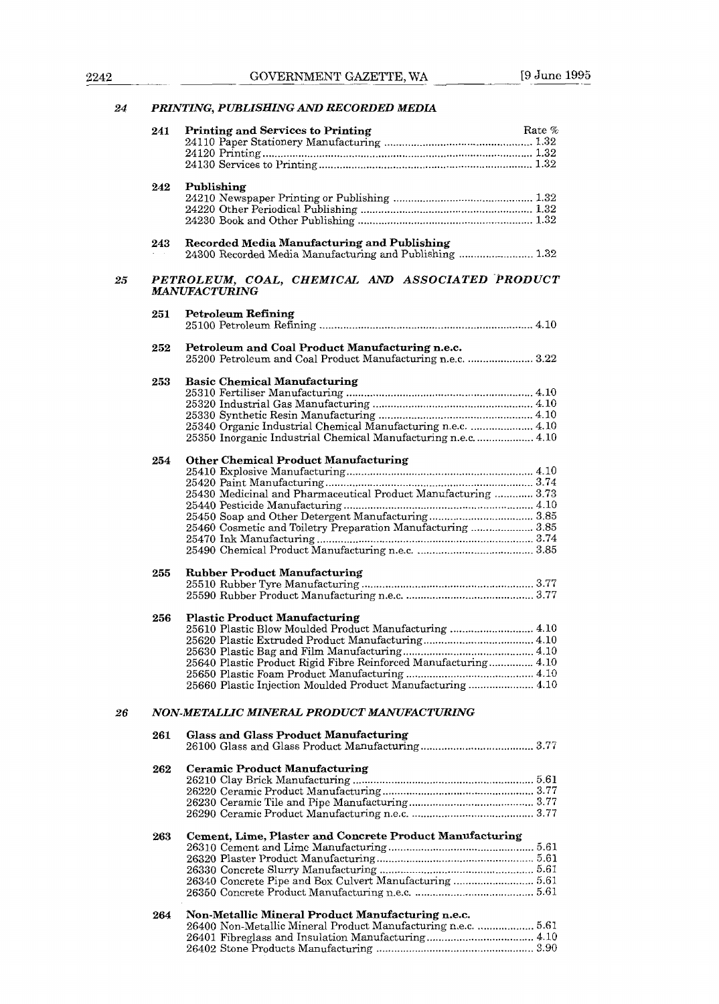# **24** *PRINTING. PUBLISHING* AND *RECORDED MEDIA*

|    | 241 | <b>Printing and Services to Printing</b>                                                                           | Rate % |
|----|-----|--------------------------------------------------------------------------------------------------------------------|--------|
|    |     |                                                                                                                    |        |
|    |     |                                                                                                                    |        |
|    |     |                                                                                                                    |        |
|    |     |                                                                                                                    |        |
|    | 242 | Publishing                                                                                                         |        |
|    |     |                                                                                                                    |        |
|    |     |                                                                                                                    |        |
|    |     |                                                                                                                    |        |
|    | 243 | Recorded Media Manufacturing and Publishing                                                                        |        |
|    |     | 24300 Recorded Media Manufacturing and Publishing  1.32                                                            |        |
| 25 |     | PETROLEUM, COAL, CHEMICAL AND ASSOCIATED PRODUCT                                                                   |        |
|    |     | <b>MANUFACTURING</b>                                                                                               |        |
|    | 251 | <b>Petroleum Refining</b>                                                                                          |        |
|    |     |                                                                                                                    |        |
|    |     |                                                                                                                    |        |
|    | 252 | Petroleum and Coal Product Manufacturing n.e.c.                                                                    |        |
|    |     | 25200 Petroleum and Coal Product Manufacturing n.e.c.  3.22                                                        |        |
|    |     |                                                                                                                    |        |
|    | 253 | <b>Basic Chemical Manufacturing</b>                                                                                |        |
|    |     |                                                                                                                    |        |
|    |     |                                                                                                                    |        |
|    |     | 25340 Organic Industrial Chemical Manufacturing n.e.c.  4.10                                                       |        |
|    |     | 25350 Inorganic Industrial Chemical Manufacturing n.e.c.  4.10                                                     |        |
|    |     |                                                                                                                    |        |
|    | 254 | <b>Other Chemical Product Manufacturing</b>                                                                        |        |
|    |     |                                                                                                                    |        |
|    |     |                                                                                                                    |        |
|    |     | 25430 Medicinal and Pharmaceutical Product Manufacturing  3.73                                                     |        |
|    |     |                                                                                                                    |        |
|    |     |                                                                                                                    |        |
|    |     | 25460 Cosmetic and Toiletry Preparation Manufacturing  3.85                                                        |        |
|    |     |                                                                                                                    |        |
|    |     |                                                                                                                    |        |
|    |     |                                                                                                                    |        |
|    | 255 | <b>Rubber Product Manufacturing</b>                                                                                |        |
|    |     |                                                                                                                    |        |
|    |     |                                                                                                                    |        |
|    | 256 | <b>Plastic Product Manufacturing</b>                                                                               |        |
|    |     | 25610 Plastic Blow Moulded Product Manufacturing  4.10                                                             |        |
|    |     |                                                                                                                    |        |
|    |     |                                                                                                                    |        |
|    |     | 25640 Plastic Product Rigid Fibre Reinforced Manufacturing 4.10                                                    |        |
|    |     |                                                                                                                    |        |
|    |     | 25660 Plastic Injection Moulded Product Manufacturing 4.10                                                         |        |
| 26 |     | NON-METALLIC MINERAL PRODUCT MANUFACTURING                                                                         |        |
|    |     |                                                                                                                    |        |
|    | 261 | <b>Glass and Glass Product Manufacturing</b>                                                                       |        |
|    |     |                                                                                                                    |        |
|    |     | <b>Ceramic Product Manufacturing</b>                                                                               |        |
|    | 262 |                                                                                                                    |        |
|    |     |                                                                                                                    |        |
|    |     |                                                                                                                    |        |
|    |     |                                                                                                                    |        |
|    |     |                                                                                                                    |        |
|    | 263 | Cement, Lime, Plaster and Concrete Product Manufacturing                                                           |        |
|    |     |                                                                                                                    |        |
|    |     |                                                                                                                    |        |
|    |     |                                                                                                                    |        |
|    |     |                                                                                                                    |        |
|    |     |                                                                                                                    |        |
|    |     |                                                                                                                    |        |
|    | 264 | Non-Metallic Mineral Product Manufacturing n.e.c.<br>26400 Non-Metallic Mineral Product Manufacturing n.e.c.  5.61 |        |
|    |     |                                                                                                                    |        |
|    |     |                                                                                                                    |        |
|    |     |                                                                                                                    |        |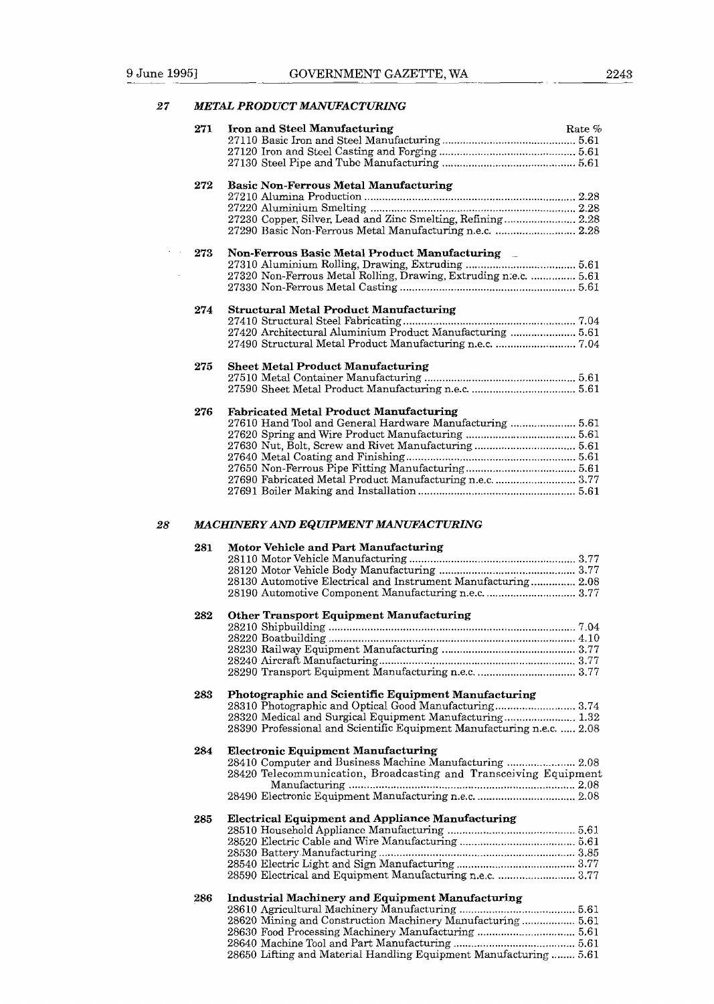### *27 METAL PRODUCT MANUFACTURING*

|    | 271 | Iron and Steel Manufacturing<br>Rate %                                 |
|----|-----|------------------------------------------------------------------------|
|    |     |                                                                        |
|    |     |                                                                        |
|    | 272 | <b>Basic Non-Ferrous Metal Manufacturing</b>                           |
|    |     |                                                                        |
|    |     |                                                                        |
|    |     | 27230 Copper, Silver, Lead and Zinc Smelting, Refining 2.28            |
|    |     | 27290 Basic Non-Ferrous Metal Manufacturing n.e.c.  2.28               |
|    | 273 | Non-Ferrous Basic Metal Product Manufacturing                          |
|    |     |                                                                        |
|    |     | 27320 Non-Ferrous Metal Rolling, Drawing, Extruding n.e.c.  5.61       |
|    |     |                                                                        |
|    | 274 | <b>Structural Metal Product Manufacturing</b>                          |
|    |     |                                                                        |
|    |     | 27420 Architectural Aluminium Product Manufacturing  5.61              |
|    |     | 27490 Structural Metal Product Manufacturing n.e.c.  7.04              |
|    | 275 | <b>Sheet Metal Product Manufacturing</b>                               |
|    |     |                                                                        |
|    |     |                                                                        |
|    | 276 | <b>Fabricated Metal Product Manufacturing</b>                          |
|    |     | 27610 Hand Tool and General Hardware Manufacturing  5.61               |
|    |     |                                                                        |
|    |     |                                                                        |
|    |     |                                                                        |
|    |     |                                                                        |
|    |     | 27690 Fabricated Metal Product Manufacturing n.e.c.  3.77              |
|    |     |                                                                        |
| 28 |     | MACHINERY AND EQUIPMENT MANUFACTURING                                  |
|    | 281 | Motor Vehicle and Part Manufacturing                                   |
|    |     |                                                                        |
|    |     | 28130 Automotive Electrical and Instrument Manufacturing 2.08          |
|    |     |                                                                        |
|    | 282 | <b>Other Transport Equipment Manufacturing</b>                         |
|    |     |                                                                        |
|    |     |                                                                        |
|    |     |                                                                        |
|    |     |                                                                        |
|    |     |                                                                        |
|    | 283 | Photographic and Scientific Equipment Manufacturing                    |
|    |     | 28310 Photographic and Optical Good Manufacturing 3.74                 |
|    |     | 28390 Professional and Scientific Equipment Manufacturing n.e.c.  2.08 |
|    |     |                                                                        |
|    | 284 | <b>Electronic Equipment Manufacturing</b>                              |
|    |     | 28410 Computer and Business Machine Manufacturing  2.08                |
|    |     | 28420 Telecommunication, Broadcasting and Transceiving Equipment       |
|    |     |                                                                        |
|    |     |                                                                        |
|    | 285 | <b>Electrical Equipment and Appliance Manufacturing</b>                |
|    |     |                                                                        |
|    |     |                                                                        |
|    |     |                                                                        |
|    |     | 28590 Electrical and Equipment Manufacturing n.e.c.  3.77              |
|    |     |                                                                        |
|    | 286 | <b>Industrial Machinery and Equipment Manufacturing</b>                |
|    |     | 28620 Mining and Construction Machinery Manufacturing 5.61             |
|    |     |                                                                        |
|    |     |                                                                        |
|    |     | 28650 Lifting and Material Handling Equipment Manufacturing  5.61      |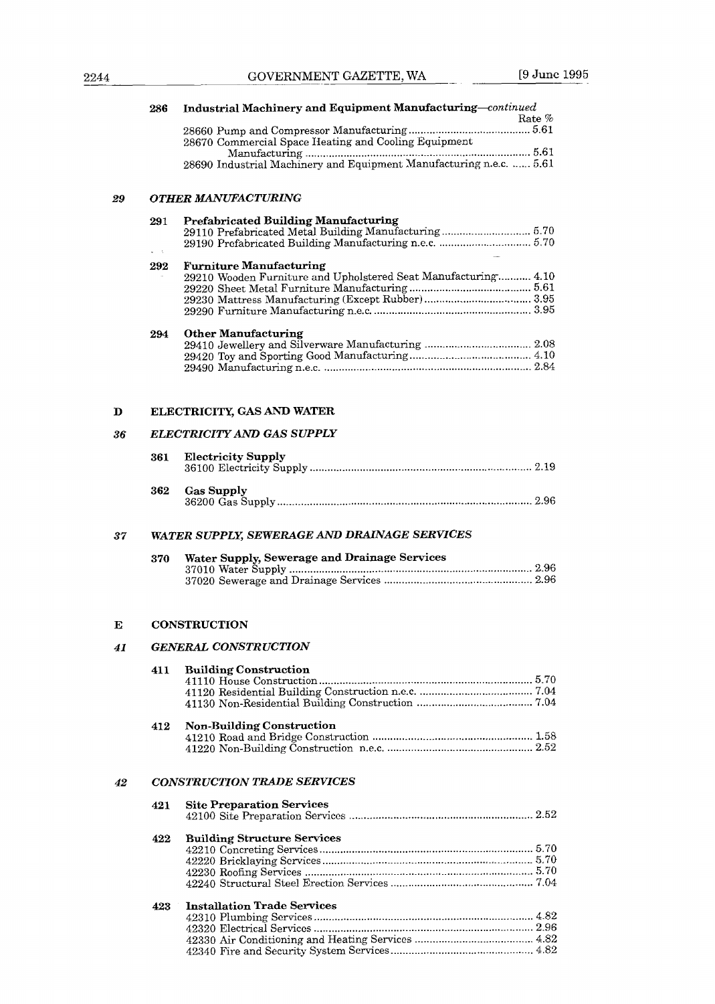|    | 286 | Industrial Machinery and Equipment Manufacturing-continued     | Rate % |
|----|-----|----------------------------------------------------------------|--------|
|    |     | 28670 Commercial Space Heating and Cooling Equipment           |        |
|    |     |                                                                |        |
|    |     |                                                                |        |
| 29 |     | <b>OTHER MANUFACTURING</b>                                     |        |
|    | 291 | <b>Prefabricated Building Manufacturing</b>                    |        |
|    |     | 29110 Prefabricated Metal Building Manufacturing 5.70          |        |
|    | 292 | <b>Furniture Manufacturing</b>                                 |        |
|    |     | 29210 Wooden Furniture and Upholstered Seat Manufacturing 4.10 |        |
|    |     |                                                                |        |
|    |     |                                                                |        |
|    | 294 | <b>Other Manufacturing</b>                                     |        |
|    |     |                                                                |        |
|    |     |                                                                |        |
|    |     |                                                                |        |
| D  |     | ELECTRICITY, GAS AND WATER                                     |        |
| 36 |     | ELECTRICITY AND GAS SUPPLY                                     |        |
|    |     |                                                                |        |
|    | 361 | <b>Electricity Supply</b>                                      |        |
|    | 362 | <b>Gas Supply</b>                                              |        |
| 37 |     | WATER SUPPLY, SEWERAGE AND DRAINAGE SERVICES                   |        |
|    | 370 | Water Supply, Sewerage and Drainage Services                   |        |
|    |     |                                                                |        |
| E  |     | <b>CONSTRUCTION</b>                                            |        |
| 41 |     | <b>GENERAL CONSTRUCTION</b>                                    |        |
|    |     |                                                                |        |
|    | 411 | <b>Building Construction</b>                                   |        |
|    |     |                                                                |        |
|    | 412 | <b>Non-Building Construction</b>                               |        |
|    |     |                                                                |        |
| 42 |     | <b>CONSTRUCTION TRADE SERVICES</b>                             |        |
|    | 421 | <b>Site Preparation Services</b>                               |        |
|    | 422 | <b>Building Structure Services</b>                             |        |
|    |     |                                                                |        |
|    |     |                                                                |        |
|    |     |                                                                |        |
|    | 423 | <b>Installation Trade Services</b>                             |        |
|    |     |                                                                |        |
|    |     |                                                                |        |
|    |     |                                                                |        |

42340 Fire and Security System Services ................................................ 4.82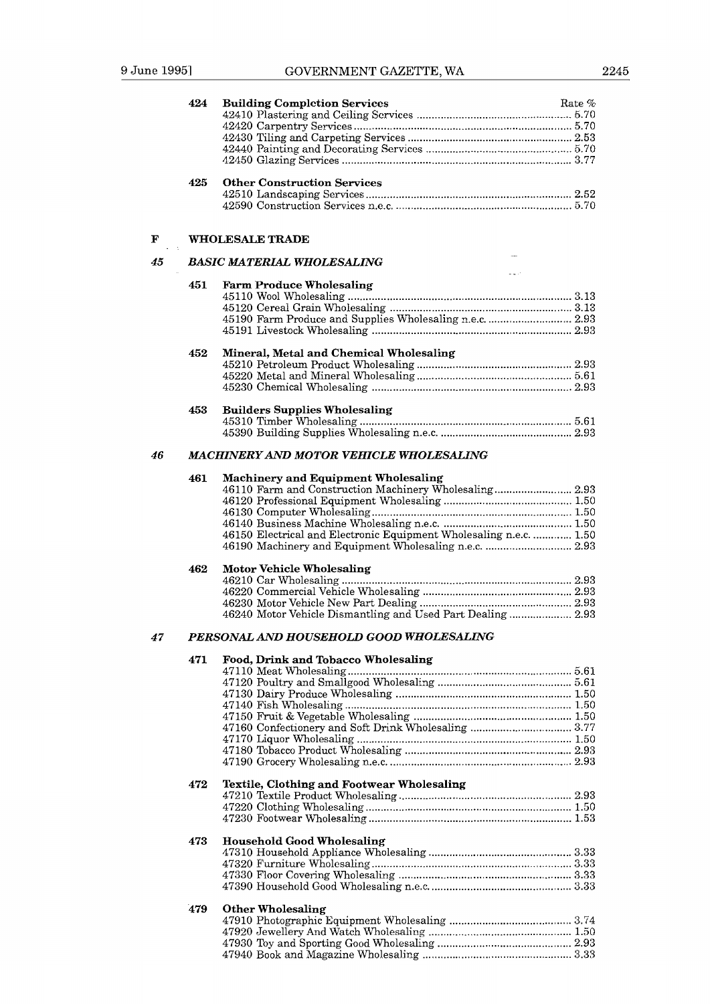|    | 424 | <b>Building Completion Services</b><br>Rate %                      |
|----|-----|--------------------------------------------------------------------|
|    |     |                                                                    |
|    |     |                                                                    |
|    |     |                                                                    |
|    |     |                                                                    |
|    | 425 | <b>Other Construction Services</b>                                 |
|    |     |                                                                    |
|    |     |                                                                    |
|    |     |                                                                    |
| F  |     | <b>WHOLESALE TRADE</b>                                             |
| 45 |     | <b>BASIC MATERIAL WHOLESALING</b>                                  |
|    | 451 | <b>Farm Produce Wholesaling</b>                                    |
|    |     |                                                                    |
|    |     |                                                                    |
|    |     | 45190 Farm Produce and Supplies Wholesaling n.e.c.  2.93           |
|    |     |                                                                    |
|    | 452 | Mineral, Metal and Chemical Wholesaling                            |
|    |     |                                                                    |
|    |     |                                                                    |
|    |     |                                                                    |
|    | 453 | <b>Builders Supplies Wholesaling</b>                               |
|    |     |                                                                    |
|    |     |                                                                    |
| 46 |     | MACHINERY AND MOTOR VEHICLE WHOLESALING                            |
|    | 461 | <b>Machinery and Equipment Wholesaling</b>                         |
|    |     | 46110 Farm and Construction Machinery Wholesaling 2.93             |
|    |     |                                                                    |
|    |     |                                                                    |
|    |     | 46150 Electrical and Electronic Equipment Wholesaling n.e.c.  1.50 |
|    |     | 46190 Machinery and Equipment Wholesaling n.e.c.  2.93             |
|    |     |                                                                    |
|    | 462 | <b>Motor Vehicle Wholesaling</b>                                   |
|    |     |                                                                    |
|    |     |                                                                    |
|    |     | 46240 Motor Vehicle Dismantling and Used Part Dealing 2.93         |
| 47 |     | PERSONAL AND HOUSEHOLD GOOD WHOLESALING                            |
|    | 471 | Food, Drink and Tobacco Wholesaling                                |
|    |     |                                                                    |
|    |     |                                                                    |
|    |     |                                                                    |
|    |     |                                                                    |
|    |     |                                                                    |
|    |     |                                                                    |
|    |     |                                                                    |
|    |     |                                                                    |
|    | 472 | Textile, Clothing and Footwear Wholesaling                         |
|    |     |                                                                    |
|    |     |                                                                    |
|    |     |                                                                    |
|    | 473 | <b>Household Good Wholesaling</b>                                  |
|    |     |                                                                    |
|    |     |                                                                    |
|    |     |                                                                    |
|    |     |                                                                    |
|    | 479 | <b>Other Wholesaling</b>                                           |
|    |     |                                                                    |
|    |     |                                                                    |
|    |     |                                                                    |
|    |     |                                                                    |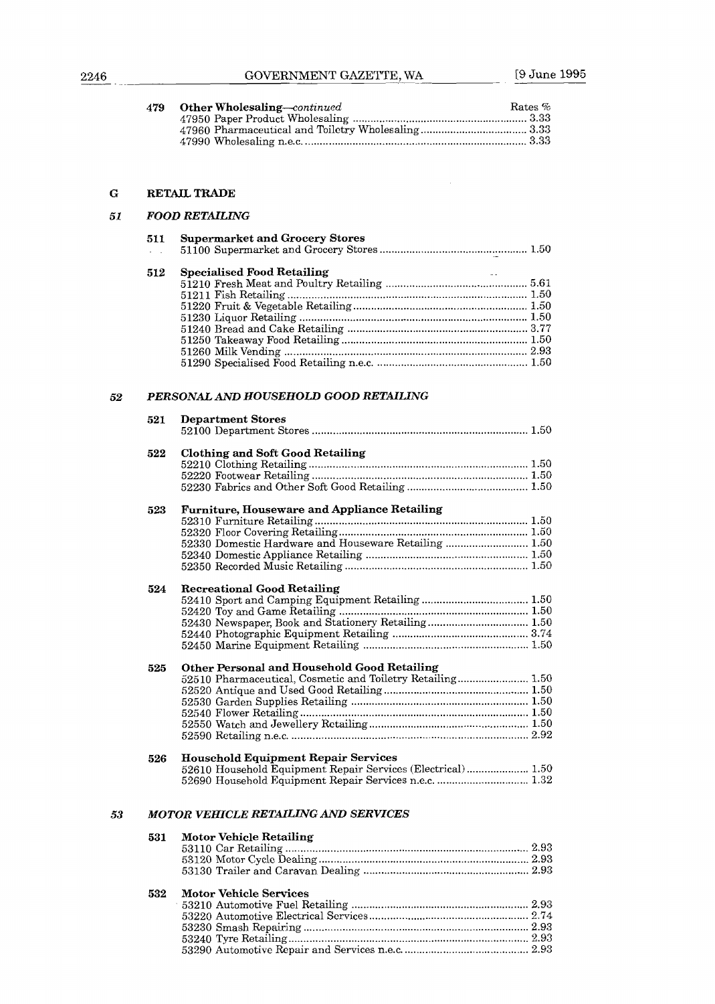| 2246 |     | GOVERNMENT GAZETTE, WA                                                                                       | [9 June 1995 |
|------|-----|--------------------------------------------------------------------------------------------------------------|--------------|
|      | 479 | <b>Other Wholesaling</b> —continued                                                                          | Rates %      |
| G    |     | <b>RETAIL TRADE</b>                                                                                          |              |
| 51   |     | FOOD RETAILING                                                                                               |              |
|      | 511 | <b>Supermarket and Grocery Stores</b>                                                                        |              |
|      | 512 | Specialised Food Retailing                                                                                   |              |
| 52   |     | PERSONAL AND HOUSEHOLD GOOD RETAILING                                                                        |              |
|      | 521 | <b>Department Stores</b>                                                                                     |              |
|      | 522 | <b>Clothing and Soft Good Retailing</b>                                                                      |              |
|      | 523 | <b>Furniture, Houseware and Appliance Retailing</b><br>52330 Domestic Hardware and Houseware Retailing  1.50 |              |
|      | 524 | <b>Recreational Good Retailing</b>                                                                           |              |
|      |     |                                                                                                              |              |
|      | 525 | Other Personal and Household Good Retailing<br>52510 Pharmaceutical, Cosmetic and Toiletry Retailing 1.50    |              |
|      | 526 | <b>Household Equipment Repair Services</b><br>52610 Household Equipment Repair Services (Electrical)  1.50   |              |

53240 Tyre Retailing ................................................................................. 2.43 53290 Automotive Repair and Services n.e.c. ........................................ 2.93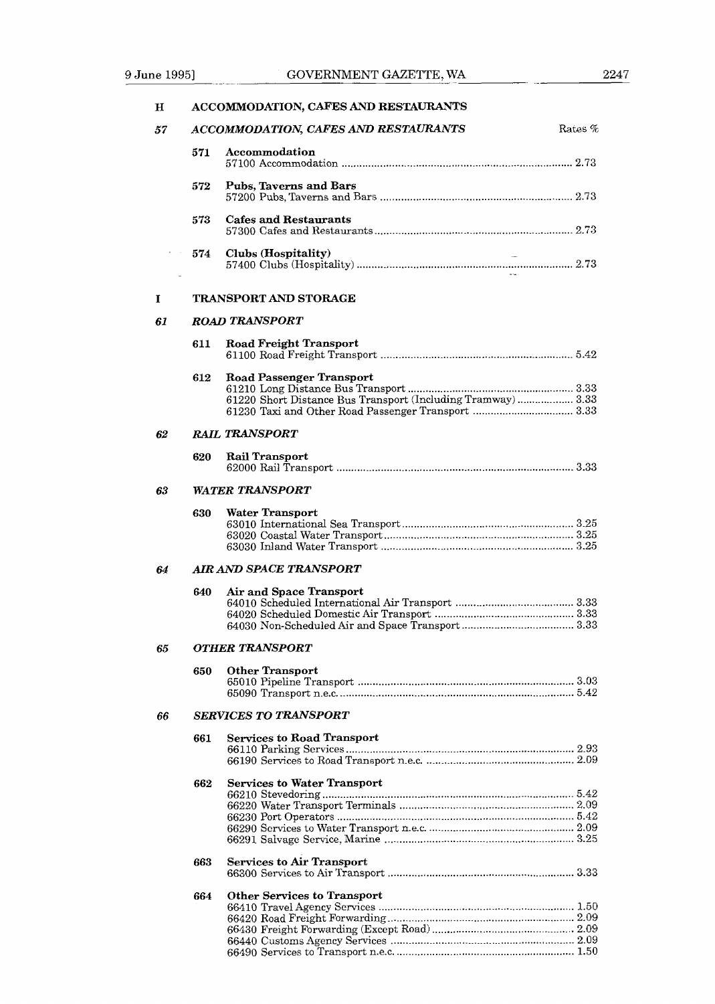| $\mathbf H$ |                              | ACCOMMODATION, CAFES AND RESTAURANTS                                                                                                                   |  |
|-------------|------------------------------|--------------------------------------------------------------------------------------------------------------------------------------------------------|--|
| 57          |                              | ACCOMMODATION, CAFES AND RESTAURANTS<br>Rates %                                                                                                        |  |
|             | 571                          | Accommodation                                                                                                                                          |  |
|             | 572                          | Pubs, Taverns and Bars                                                                                                                                 |  |
|             | 573                          | Cafes and Restaurants                                                                                                                                  |  |
|             | 574                          | Clubs (Hospitality)                                                                                                                                    |  |
| 1           |                              | <b>TRANSPORT AND STORAGE</b>                                                                                                                           |  |
| 61          |                              | <b>ROAD TRANSPORT</b>                                                                                                                                  |  |
|             | 611                          | <b>Road Freight Transport</b>                                                                                                                          |  |
|             | 612                          | <b>Road Passenger Transport</b><br>61220 Short Distance Bus Transport (Including Tramway)  3.33<br>61230 Taxi and Other Road Passenger Transport  3.33 |  |
| 62          |                              | <b>RAIL TRANSPORT</b>                                                                                                                                  |  |
|             | 620                          | Rail Transport                                                                                                                                         |  |
| 63          | <b>WATER TRANSPORT</b>       |                                                                                                                                                        |  |
|             | 630                          | Water Transport                                                                                                                                        |  |
| 64          |                              | <b>AIR AND SPACE TRANSPORT</b>                                                                                                                         |  |
|             | 640                          | Air and Space Transport                                                                                                                                |  |
| 65          |                              | OTHER TRANSPORT                                                                                                                                        |  |
|             | 650                          | <b>Other Transport</b>                                                                                                                                 |  |
| 66          | <b>SERVICES TO TRANSPORT</b> |                                                                                                                                                        |  |
|             | 661                          | <b>Services to Road Transport</b>                                                                                                                      |  |
|             | 662                          | <b>Services to Water Transport</b>                                                                                                                     |  |
|             | 663                          | <b>Services to Air Transport</b>                                                                                                                       |  |
|             | 664                          | <b>Other Services to Transport</b>                                                                                                                     |  |

66490 Services to Transport n.e.c. ............................................................ 1.50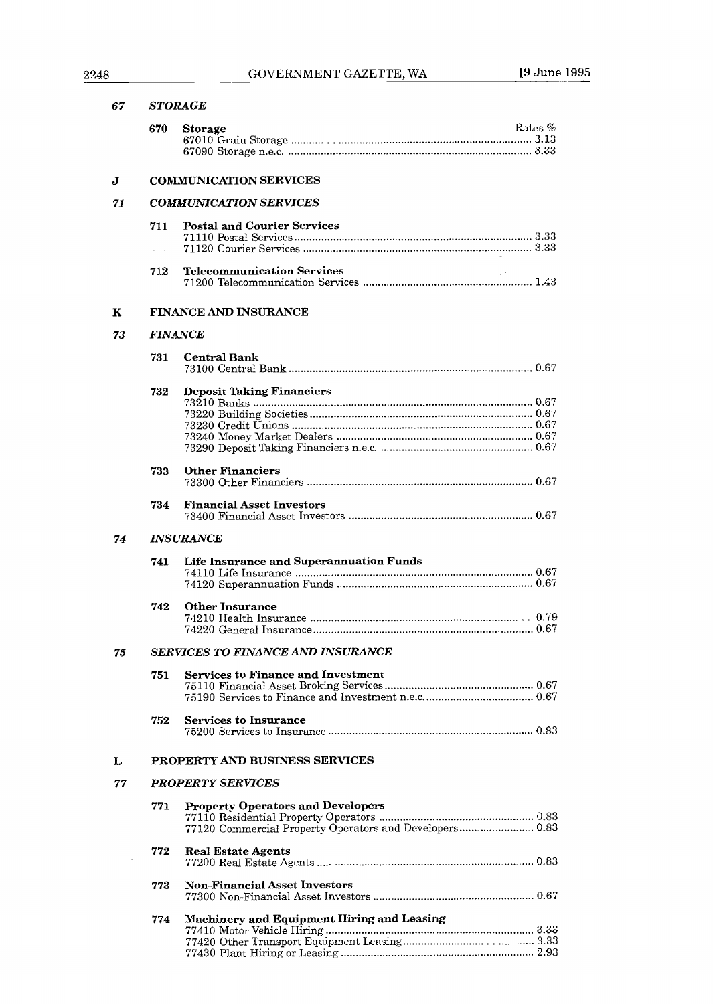## 2248 GOVERNMENT GAZETTE, WA [9 June 1995

| 67 |                               | <b>STORAGE</b>                                                                                      |  |  |
|----|-------------------------------|-----------------------------------------------------------------------------------------------------|--|--|
|    | 670                           | Rates $%$<br>Storage                                                                                |  |  |
| J  | <b>COMMUNICATION SERVICES</b> |                                                                                                     |  |  |
| 71 |                               | <b>COMMUNICATION SERVICES</b>                                                                       |  |  |
|    | 711<br>n.                     | <b>Postal and Courier Services</b>                                                                  |  |  |
|    | 712                           | <b>Telecommunication Services</b><br>$\omega_{\rm{max}}$ .                                          |  |  |
| к  |                               | <b>FINANCE AND INSURANCE</b>                                                                        |  |  |
| 73 |                               | <b>FINANCE</b>                                                                                      |  |  |
|    | 731                           | <b>Central Bank</b>                                                                                 |  |  |
|    | 732                           | <b>Deposit Taking Financiers</b>                                                                    |  |  |
|    | 733                           | <b>Other Financiers</b>                                                                             |  |  |
|    | 734                           | <b>Financial Asset Investors</b>                                                                    |  |  |
| 74 | <i><b>INSURANCE</b></i>       |                                                                                                     |  |  |
|    | 741                           | <b>Life Insurance and Superannuation Funds</b>                                                      |  |  |
|    | 742                           | <b>Other Insurance</b>                                                                              |  |  |
| 75 |                               | SERVICES TO FINANCE AND INSURANCE                                                                   |  |  |
|    | 751                           | <b>Services to Finance and Investment</b>                                                           |  |  |
|    | 752                           | <b>Services to Insurance</b>                                                                        |  |  |
| L  |                               | PROPERTY AND BUSINESS SERVICES                                                                      |  |  |
| 77 |                               | <b>PROPERTY SERVICES</b>                                                                            |  |  |
|    | 771                           | <b>Property Operators and Developers</b><br>77120 Commercial Property Operators and Developers 0.83 |  |  |
|    | 772                           | <b>Real Estate Agents</b>                                                                           |  |  |
|    | 773                           | <b>Non-Financial Asset Investors</b>                                                                |  |  |
|    | 774                           | Machinery and Equipment Hiring and Leasing                                                          |  |  |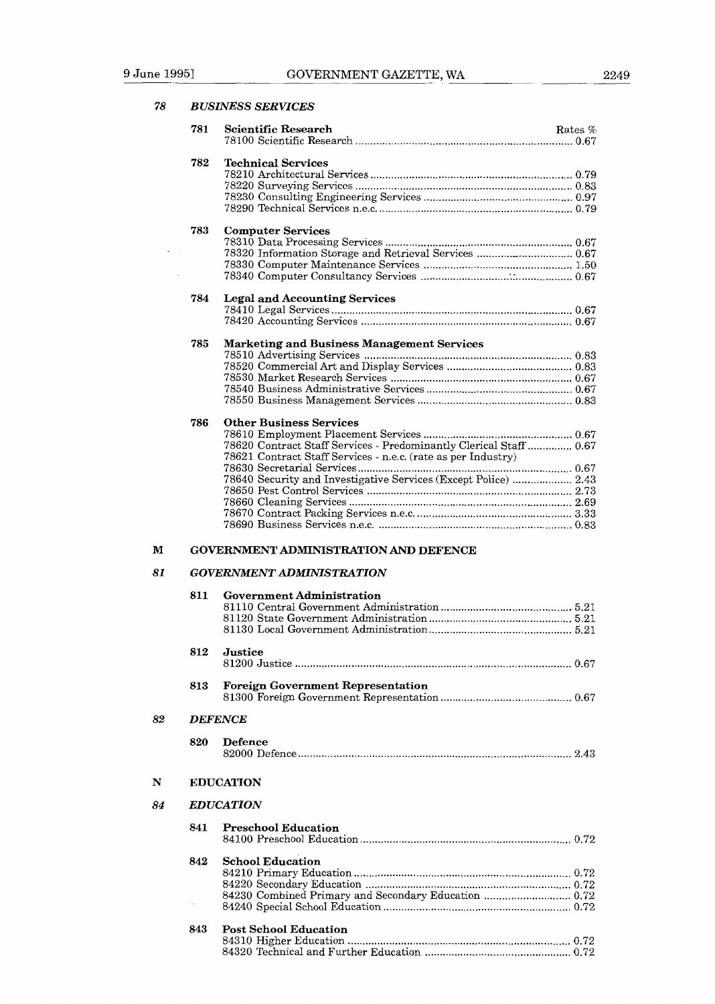78

**I3** *USINESS SERVICES* 

|    | 781                               | <b>Scientific Research</b><br>Rates %                              |  |
|----|-----------------------------------|--------------------------------------------------------------------|--|
|    |                                   |                                                                    |  |
|    | 782                               | <b>Technical Services</b>                                          |  |
|    |                                   |                                                                    |  |
|    |                                   |                                                                    |  |
|    |                                   |                                                                    |  |
|    |                                   |                                                                    |  |
|    | 783                               | <b>Computer Services</b>                                           |  |
|    |                                   | 78320 Information Storage and Retrieval Services  0.67             |  |
|    |                                   |                                                                    |  |
|    |                                   |                                                                    |  |
|    | 784                               | <b>Legal and Accounting Services</b>                               |  |
|    |                                   |                                                                    |  |
|    |                                   |                                                                    |  |
|    |                                   |                                                                    |  |
|    | 785                               | <b>Marketing and Business Management Services</b>                  |  |
|    |                                   |                                                                    |  |
|    |                                   |                                                                    |  |
|    |                                   |                                                                    |  |
|    |                                   |                                                                    |  |
|    | 786                               | <b>Other Business Services</b>                                     |  |
|    |                                   |                                                                    |  |
|    |                                   | 78620 Contract Staff Services - Predominantly Clerical Staff  0.67 |  |
|    |                                   | 78621 Contract Staff Services - n.e.c. (rate as per Industry)      |  |
|    |                                   | 78640 Security and Investigative Services (Except Police)  2.43    |  |
|    |                                   |                                                                    |  |
|    |                                   |                                                                    |  |
|    |                                   |                                                                    |  |
|    |                                   |                                                                    |  |
| м  |                                   | <b>GOVERNMENT ADMINISTRATION AND DEFENCE</b>                       |  |
| 81 |                                   |                                                                    |  |
|    |                                   | <b>GOVERNMENT ADMINISTRATION</b>                                   |  |
|    | 811                               | <b>Government Administration</b>                                   |  |
|    |                                   |                                                                    |  |
|    |                                   |                                                                    |  |
|    |                                   |                                                                    |  |
|    | 812                               | Justice                                                            |  |
|    |                                   |                                                                    |  |
|    | 813                               | <b>Foreign Government Representation</b>                           |  |
|    |                                   |                                                                    |  |
|    |                                   |                                                                    |  |
| 82 |                                   | <b>DEFENCE</b>                                                     |  |
|    | 820                               | <b>Defence</b>                                                     |  |
|    |                                   |                                                                    |  |
|    |                                   |                                                                    |  |
| N  |                                   | <b>EDUCATION</b>                                                   |  |
| 84 |                                   | <b>EDUCATION</b>                                                   |  |
|    | 841<br><b>Preschool Education</b> |                                                                    |  |
|    |                                   |                                                                    |  |
|    | 842                               | <b>School Education</b>                                            |  |
|    |                                   |                                                                    |  |
|    |                                   |                                                                    |  |
|    |                                   | 84230 Combined Primary and Secondary Education  0.72               |  |
|    |                                   |                                                                    |  |

### **843 Post School Education**  8431 0 Higher Education ........................................................................... 0.72 84320 Technical and Further Education ............................................ 0.72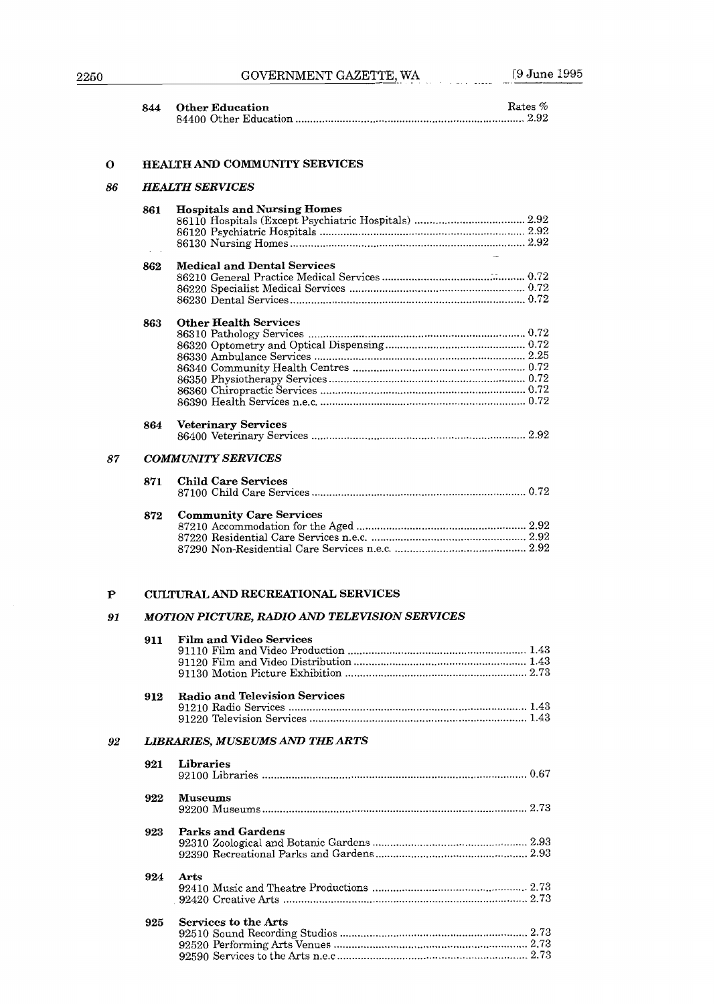| 344 | <b>Other Education</b> | Rates $%$ |
|-----|------------------------|-----------|
|     |                        |           |

#### $\mathbf{o}$ **HEALTH AND COMMUNITY SERVICES**

#### 86 *HEALTH SERVICES*

|    | 861 | <b>Hospitals and Nursing Homes</b> |
|----|-----|------------------------------------|
|    |     |                                    |
|    |     |                                    |
|    |     |                                    |
|    |     |                                    |
|    | 862 | <b>Medical and Dental Services</b> |
|    |     |                                    |
|    |     |                                    |
|    |     |                                    |
|    |     |                                    |
|    | 863 | <b>Other Health Services</b>       |
|    |     |                                    |
|    |     |                                    |
|    |     |                                    |
|    |     |                                    |
|    |     |                                    |
|    |     |                                    |
|    |     |                                    |
|    |     |                                    |
|    | 864 | <b>Veterinary Services</b>         |
|    |     |                                    |
|    |     |                                    |
| 87 |     | <b>COMMUNITY SERVICES</b>          |
|    | 871 | <b>Child Care Services</b>         |
|    |     |                                    |
|    |     |                                    |
|    | 872 | <b>Community Care Services</b>     |
|    |     |                                    |
|    |     |                                    |
|    |     |                                    |
|    |     |                                    |

#### $\mathbf{P}$ **CULTURAL AND RECREATIONAL SERVICES**

#### *MOTION PICTURE. RADIO AND TELEVISION SERVICES*  91

|    | 911 | <b>Film and Video Services</b>                          |
|----|-----|---------------------------------------------------------|
|    |     |                                                         |
|    |     |                                                         |
|    |     |                                                         |
|    | 912 | <b>Radio and Television Services</b>                    |
|    |     |                                                         |
|    |     |                                                         |
| 92 |     | <b>LIBRARIES, MUSEUMS AND THE ARTS</b>                  |
|    | 921 | Libraries                                               |
|    |     |                                                         |
|    | 922 | <b>Museums</b>                                          |
|    |     |                                                         |
|    |     |                                                         |
|    | 923 | Parks and Gardens                                       |
|    |     |                                                         |
|    |     |                                                         |
|    | 924 | Arts                                                    |
|    |     |                                                         |
|    |     | . 92420 Creative Arts ………………………………………………………………………… 2.73 |
|    |     |                                                         |
|    | 925 | Services to the Arts                                    |
|    |     |                                                         |
|    |     |                                                         |
|    |     |                                                         |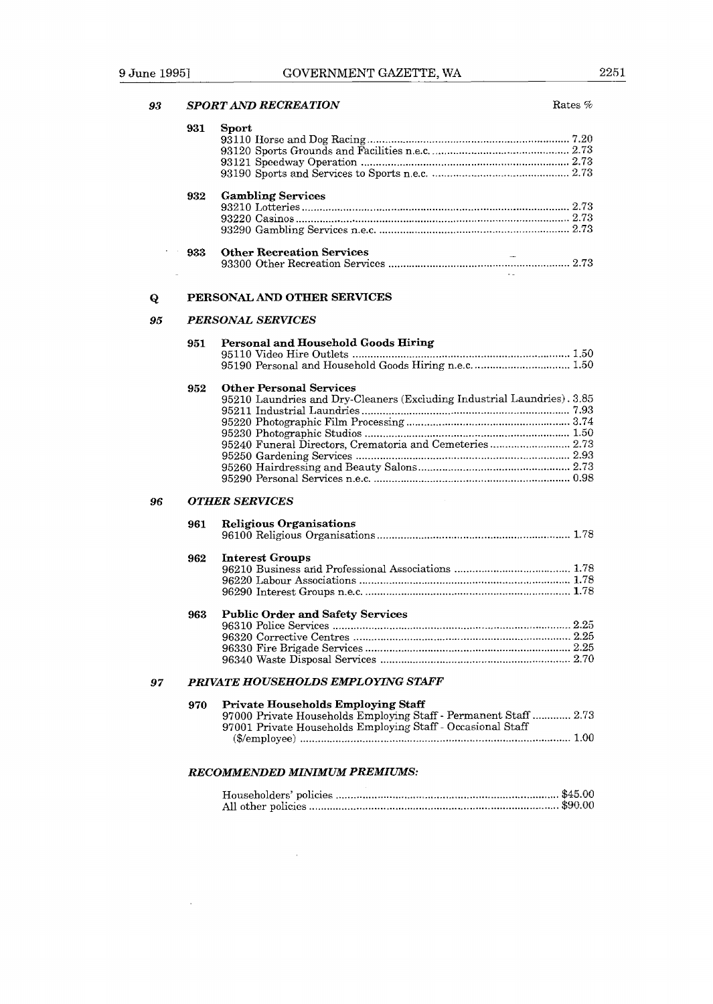|     | <b>SPORT AND RECREATION</b><br>Rates %                                  |
|-----|-------------------------------------------------------------------------|
| 931 | Sport                                                                   |
|     |                                                                         |
|     |                                                                         |
|     |                                                                         |
|     |                                                                         |
|     |                                                                         |
| 932 | <b>Gambling Services</b>                                                |
|     |                                                                         |
|     |                                                                         |
|     |                                                                         |
| 933 | <b>Other Recreation Services</b>                                        |
|     |                                                                         |
|     | PERSONAL AND OTHER SERVICES                                             |
|     | <b>PERSONAL SERVICES</b>                                                |
| 951 | Personal and Household Goods Hiring                                     |
|     |                                                                         |
|     |                                                                         |
| 952 | <b>Other Personal Services</b>                                          |
|     | 95210 Laundries and Dry-Cleaners (Excluding Industrial Laundries). 3.85 |
|     |                                                                         |
|     |                                                                         |
|     |                                                                         |
|     | 95240 Funeral Directors, Crematoria and Cemeteries  2.73                |
|     |                                                                         |
|     |                                                                         |
|     |                                                                         |
|     | <b>OTHER SERVICES</b>                                                   |
| 961 | <b>Religious Organisations</b>                                          |
|     |                                                                         |
| 962 | <b>Interest Groups</b>                                                  |
|     |                                                                         |
|     |                                                                         |
|     |                                                                         |
| 963 | <b>Public Order and Safety Services</b>                                 |
|     |                                                                         |
|     |                                                                         |
|     |                                                                         |
|     |                                                                         |
|     | PRIVATE HOUSEHOLDS EMPLOYING STAFF                                      |
| 970 | Private Households Employing Staff                                      |
|     | 97000 Private Households Employing Staff - Permanent Staff  2.73        |
|     | 97001 Private Households Employing Staff - Occasional Staff             |
|     |                                                                         |
|     |                                                                         |
|     | <b>RECOMMENDED MINIMUM PREMIUMS:</b>                                    |
|     |                                                                         |

 $\bar{z}$ 

 $\sim$